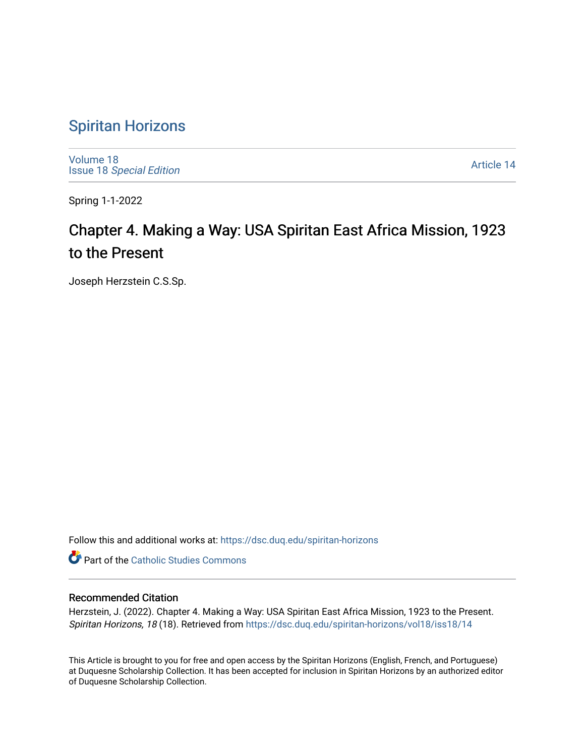# [Spiritan Horizons](https://dsc.duq.edu/spiritan-horizons)

[Volume 18](https://dsc.duq.edu/spiritan-horizons/vol18) Issue 18 [Special Edition](https://dsc.duq.edu/spiritan-horizons/vol18/iss18) 

[Article 14](https://dsc.duq.edu/spiritan-horizons/vol18/iss18/14) 

Spring 1-1-2022

# Chapter 4. Making a Way: USA Spiritan East Africa Mission, 1923 to the Present

Joseph Herzstein C.S.Sp.

Follow this and additional works at: [https://dsc.duq.edu/spiritan-horizons](https://dsc.duq.edu/spiritan-horizons?utm_source=dsc.duq.edu%2Fspiritan-horizons%2Fvol18%2Fiss18%2F14&utm_medium=PDF&utm_campaign=PDFCoverPages)

**Part of the [Catholic Studies Commons](http://network.bepress.com/hgg/discipline/1294?utm_source=dsc.duq.edu%2Fspiritan-horizons%2Fvol18%2Fiss18%2F14&utm_medium=PDF&utm_campaign=PDFCoverPages)** 

#### Recommended Citation

Herzstein, J. (2022). Chapter 4. Making a Way: USA Spiritan East Africa Mission, 1923 to the Present. Spiritan Horizons, 18 (18). Retrieved from [https://dsc.duq.edu/spiritan-horizons/vol18/iss18/14](https://dsc.duq.edu/spiritan-horizons/vol18/iss18/14?utm_source=dsc.duq.edu%2Fspiritan-horizons%2Fvol18%2Fiss18%2F14&utm_medium=PDF&utm_campaign=PDFCoverPages)

This Article is brought to you for free and open access by the Spiritan Horizons (English, French, and Portuguese) at Duquesne Scholarship Collection. It has been accepted for inclusion in Spiritan Horizons by an authorized editor of Duquesne Scholarship Collection.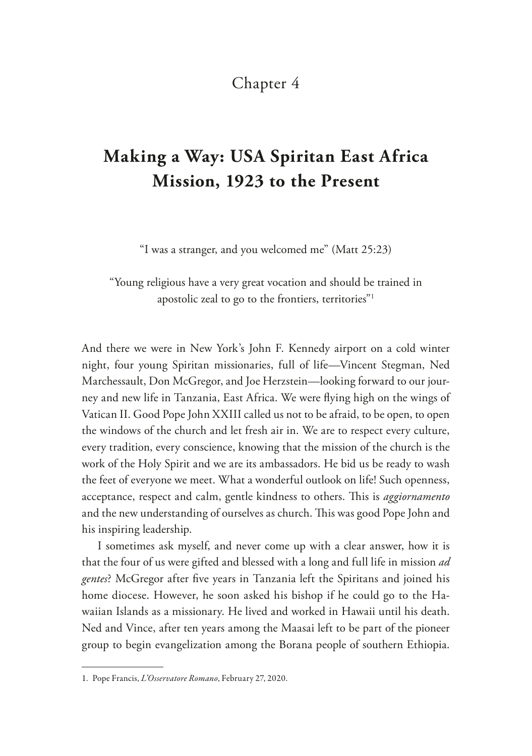#### Chapter 4

# **Making a Way: USA Spiritan East Africa Mission, 1923 to the Present**

"I was a stranger, and you welcomed me" (Matt 25:23)

"Young religious have a very great vocation and should be trained in apostolic zeal to go to the frontiers, territories"<sup>1</sup>

And there we were in New York's John F. Kennedy airport on a cold winter night, four young Spiritan missionaries, full of life—Vincent Stegman, Ned Marchessault, Don McGregor, and Joe Herzstein—looking forward to our journey and new life in Tanzania, East Africa. We were fying high on the wings of Vatican II. Good Pope John XXIII called us not to be afraid, to be open, to open the windows of the church and let fresh air in. We are to respect every culture, every tradition, every conscience, knowing that the mission of the church is the work of the Holy Spirit and we are its ambassadors. He bid us be ready to wash the feet of everyone we meet. What a wonderful outlook on life! Such openness, acceptance, respect and calm, gentle kindness to others. This is *aggiornamento* and the new understanding of ourselves as church. This was good Pope John and his inspiring leadership.

I sometimes ask myself, and never come up with a clear answer, how it is that the four of us were gifted and blessed with a long and full life in mission *ad gentes*? McGregor after fve years in Tanzania left the Spiritans and joined his home diocese. However, he soon asked his bishop if he could go to the Hawaiian Islands as a missionary. He lived and worked in Hawaii until his death. Ned and Vince, after ten years among the Maasai left to be part of the pioneer group to begin evangelization among the Borana people of southern Ethiopia.

<sup>1.</sup> Pope Francis, *L'Osservatore Romano*, February 27, 2020.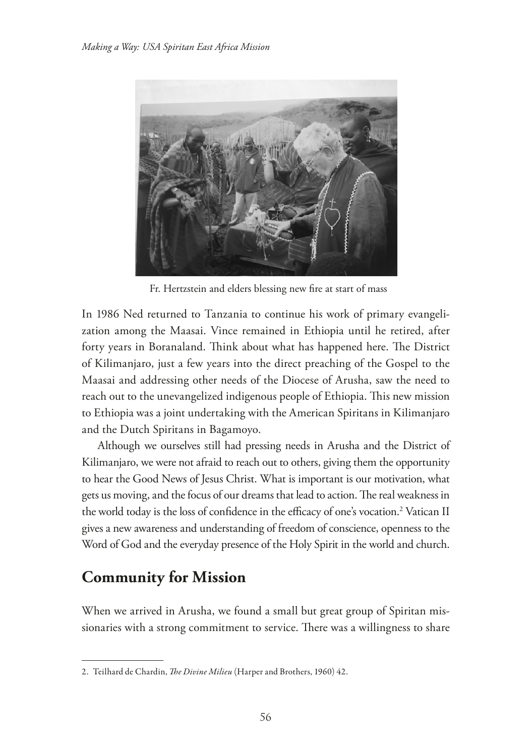

Fr. Hertzstein and elders blessing new fre at start of mass

In 1986 Ned returned to Tanzania to continue his work of primary evangelization among the Maasai. Vince remained in Ethiopia until he retired, after forty years in Boranaland. Think about what has happened here. The District of Kilimanjaro, just a few years into the direct preaching of the Gospel to the Maasai and addressing other needs of the Diocese of Arusha, saw the need to reach out to the unevangelized indigenous people of Ethiopia. This new mission to Ethiopia was a joint undertaking with the American Spiritans in Kilimanjaro and the Dutch Spiritans in Bagamoyo.

Although we ourselves still had pressing needs in Arusha and the District of Kilimanjaro, we were not afraid to reach out to others, giving them the opportunity to hear the Good News of Jesus Christ. What is important is our motivation, what gets us moving, and the focus of our dreams that lead to action. The real weakness in the world today is the loss of confidence in the efficacy of one's vocation.<sup>2</sup> Vatican II gives a new awareness and understanding of freedom of conscience, openness to the Word of God and the everyday presence of the Holy Spirit in the world and church.

## **Community for Mission**

When we arrived in Arusha, we found a small but great group of Spiritan missionaries with a strong commitment to service. There was a willingness to share

<sup>2.</sup> Teilhard de Chardin, *The Divine Milieu* (Harper and Brothers, 1960) 42.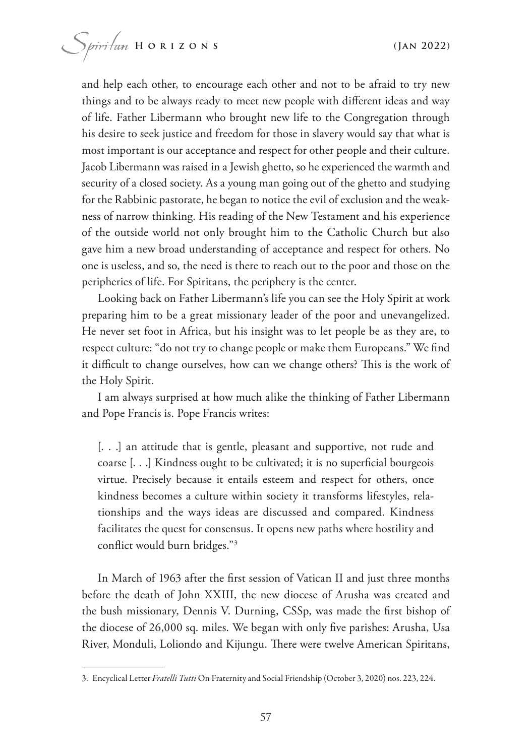and help each other, to encourage each other and not to be afraid to try new things and to be always ready to meet new people with diferent ideas and way of life. Father Libermann who brought new life to the Congregation through his desire to seek justice and freedom for those in slavery would say that what is most important is our acceptance and respect for other people and their culture. Jacob Libermann was raised in a Jewish ghetto, so he experienced the warmth and security of a closed society. As a young man going out of the ghetto and studying for the Rabbinic pastorate, he began to notice the evil of exclusion and the weakness of narrow thinking. His reading of the New Testament and his experience of the outside world not only brought him to the Catholic Church but also gave him a new broad understanding of acceptance and respect for others. No one is useless, and so, the need is there to reach out to the poor and those on the peripheries of life. For Spiritans, the periphery is the center.

Looking back on Father Libermann's life you can see the Holy Spirit at work preparing him to be a great missionary leader of the poor and unevangelized. He never set foot in Africa, but his insight was to let people be as they are, to respect culture: "do not try to change people or make them Europeans." We fnd it difficult to change ourselves, how can we change others? This is the work of the Holy Spirit.

I am always surprised at how much alike the thinking of Father Libermann and Pope Francis is. Pope Francis writes:

[...] an attitude that is gentle, pleasant and supportive, not rude and coarse [...] Kindness ought to be cultivated; it is no superficial bourgeois virtue. Precisely because it entails esteem and respect for others, once kindness becomes a culture within society it transforms lifestyles, relationships and the ways ideas are discussed and compared. Kindness facilitates the quest for consensus. It opens new paths where hostility and confict would burn bridges."3

In March of 1963 after the frst session of Vatican II and just three months before the death of John XXIII, the new diocese of Arusha was created and the bush missionary, Dennis V. Durning, CSSp, was made the frst bishop of the diocese of 26,000 sq. miles. We began with only fve parishes: Arusha, Usa River, Monduli, Loliondo and Kijungu. There were twelve American Spiritans,

<sup>3.</sup> Encyclical Letter *Fratelli Tutti* On Fraternity and Social Friendship (October 3, 2020) nos. 223, 224.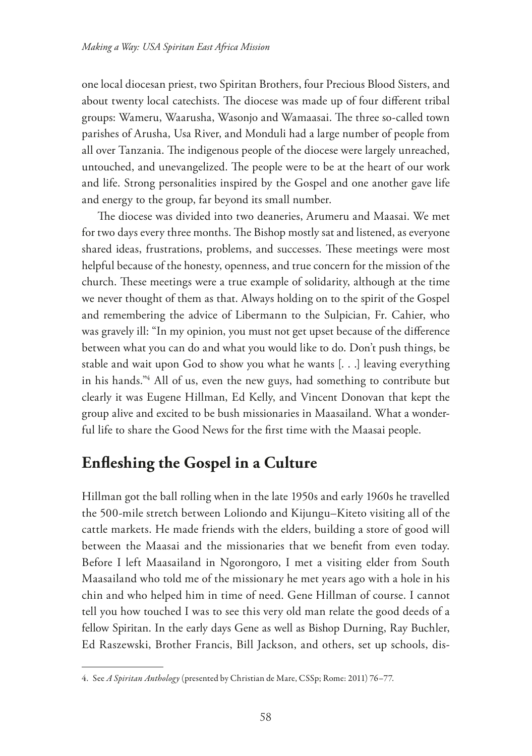one local diocesan priest, two Spiritan Brothers, four Precious Blood Sisters, and about twenty local catechists. The diocese was made up of four different tribal groups: Wameru, Waarusha, Wasonjo and Wamaasai. The three so-called town parishes of Arusha, Usa River, and Monduli had a large number of people from all over Tanzania. The indigenous people of the diocese were largely unreached, untouched, and unevangelized. The people were to be at the heart of our work and life. Strong personalities inspired by the Gospel and one another gave life and energy to the group, far beyond its small number.

The diocese was divided into two deaneries, Arumeru and Maasai. We met for two days every three months. The Bishop mostly sat and listened, as everyone shared ideas, frustrations, problems, and successes. These meetings were most helpful because of the honesty, openness, and true concern for the mission of the church. These meetings were a true example of solidarity, although at the time we never thought of them as that. Always holding on to the spirit of the Gospel and remembering the advice of Libermann to the Sulpician, Fr. Cahier, who was gravely ill: "In my opinion, you must not get upset because of the diference between what you can do and what you would like to do. Don't push things, be stable and wait upon God to show you what he wants [. . .] leaving everything in his hands."4 All of us, even the new guys, had something to contribute but clearly it was Eugene Hillman, Ed Kelly, and Vincent Donovan that kept the group alive and excited to be bush missionaries in Maasailand. What a wonderful life to share the Good News for the frst time with the Maasai people.

## **Enfeshing the Gospel in a Culture**

Hillman got the ball rolling when in the late 1950s and early 1960s he travelled the 500-mile stretch between Loliondo and Kijungu–Kiteto visiting all of the cattle markets. He made friends with the elders, building a store of good will between the Maasai and the missionaries that we beneft from even today. Before I left Maasailand in Ngorongoro, I met a visiting elder from South Maasailand who told me of the missionary he met years ago with a hole in his chin and who helped him in time of need. Gene Hillman of course. I cannot tell you how touched I was to see this very old man relate the good deeds of a fellow Spiritan. In the early days Gene as well as Bishop Durning, Ray Buchler, Ed Raszewski, Brother Francis, Bill Jackson, and others, set up schools, dis-

<sup>4.</sup> See *A Spiritan Anthology* (presented by Christian de Mare, CSSp; Rome: 2011) 76–77.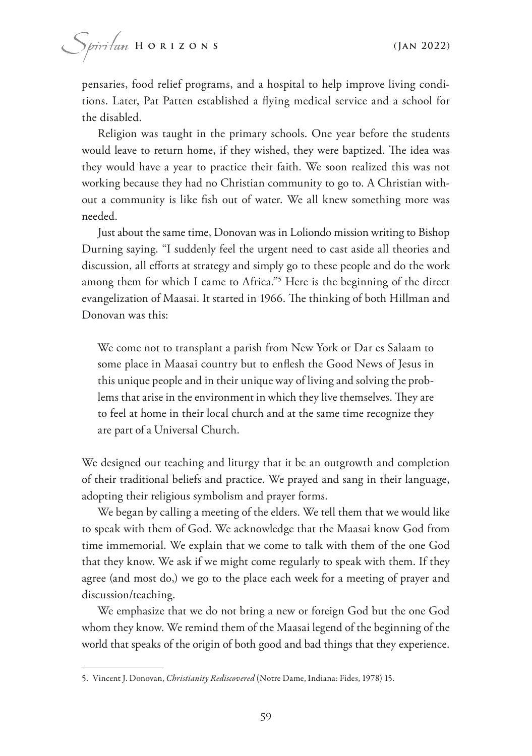pensaries, food relief programs, and a hospital to help improve living conditions. Later, Pat Patten established a fying medical service and a school for the disabled.

Religion was taught in the primary schools. One year before the students would leave to return home, if they wished, they were baptized. The idea was they would have a year to practice their faith. We soon realized this was not working because they had no Christian community to go to. A Christian without a community is like fsh out of water. We all knew something more was needed.

Just about the same time, Donovan was in Loliondo mission writing to Bishop Durning saying. "I suddenly feel the urgent need to cast aside all theories and discussion, all efforts at strategy and simply go to these people and do the work among them for which I came to Africa."5 Here is the beginning of the direct evangelization of Maasai. It started in 1966. The thinking of both Hillman and Donovan was this:

We come not to transplant a parish from New York or Dar es Salaam to some place in Maasai country but to enfesh the Good News of Jesus in this unique people and in their unique way of living and solving the problems that arise in the environment in which they live themselves. They are to feel at home in their local church and at the same time recognize they are part of a Universal Church.

We designed our teaching and liturgy that it be an outgrowth and completion of their traditional beliefs and practice. We prayed and sang in their language, adopting their religious symbolism and prayer forms.

We began by calling a meeting of the elders. We tell them that we would like to speak with them of God. We acknowledge that the Maasai know God from time immemorial. We explain that we come to talk with them of the one God that they know. We ask if we might come regularly to speak with them. If they agree (and most do,) we go to the place each week for a meeting of prayer and discussion/teaching.

We emphasize that we do not bring a new or foreign God but the one God whom they know. We remind them of the Maasai legend of the beginning of the world that speaks of the origin of both good and bad things that they experience.

<sup>5.</sup> Vincent J. Donovan, *Christianity Rediscovered* (Notre Dame, Indiana: Fides, 1978) 15.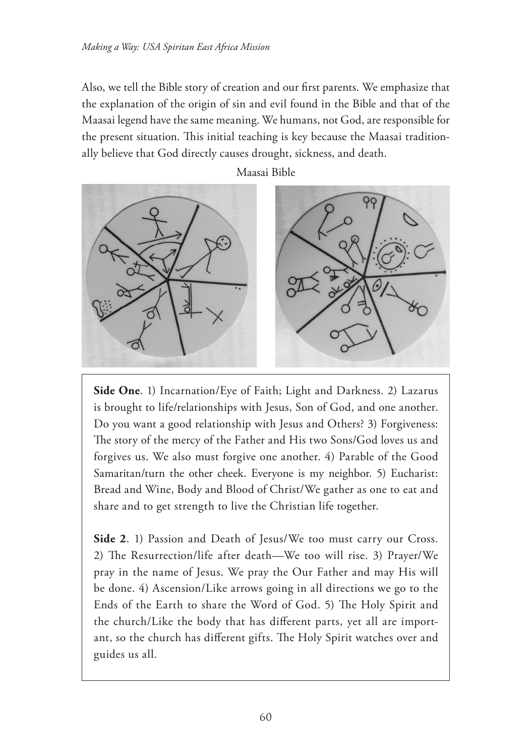Also, we tell the Bible story of creation and our frst parents. We emphasize that the explanation of the origin of sin and evil found in the Bible and that of the Maasai legend have the same meaning. We humans, not God, are responsible for the present situation. This initial teaching is key because the Maasai traditionally believe that God directly causes drought, sickness, and death.



Maasai Bible

**Side One**. 1) Incarnation/Eye of Faith; Light and Darkness. 2) Lazarus is brought to life/relationships with Jesus, Son of God, and one another. Do you want a good relationship with Jesus and Others? 3) Forgiveness: The story of the mercy of the Father and His two Sons/God loves us and forgives us. We also must forgive one another. 4) Parable of the Good Samaritan/turn the other cheek. Everyone is my neighbor. 5) Eucharist: Bread and Wine, Body and Blood of Christ/We gather as one to eat and share and to get strength to live the Christian life together.

Side 2. 1) Passion and Death of Jesus/We too must carry our Cross. 2) The Resurrection/life after death—We too will rise. 3) Prayer/We pray in the name of Jesus. We pray the Our Father and may His will be done. 4) Ascension/Like arrows going in all directions we go to the Ends of the Earth to share the Word of God. 5) The Holy Spirit and the church/Like the body that has diferent parts, yet all are important, so the church has different gifts. The Holy Spirit watches over and guides us all.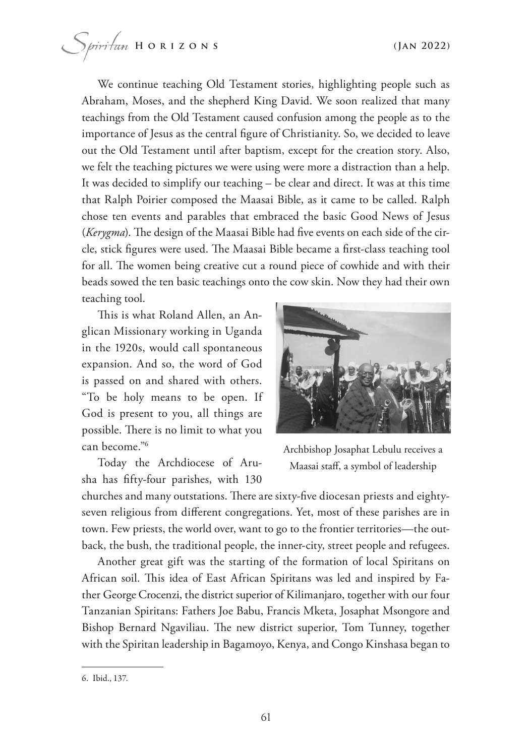We continue teaching Old Testament stories, highlighting people such as Abraham, Moses, and the shepherd King David. We soon realized that many teachings from the Old Testament caused confusion among the people as to the importance of Jesus as the central fgure of Christianity. So, we decided to leave out the Old Testament until after baptism, except for the creation story. Also, we felt the teaching pictures we were using were more a distraction than a help. It was decided to simplify our teaching – be clear and direct. It was at this time that Ralph Poirier composed the Maasai Bible, as it came to be called. Ralph chose ten events and parables that embraced the basic Good News of Jesus (*Kerygma*). The design of the Maasai Bible had five events on each side of the circle, stick figures were used. The Maasai Bible became a first-class teaching tool for all. The women being creative cut a round piece of cowhide and with their beads sowed the ten basic teachings onto the cow skin. Now they had their own teaching tool.

This is what Roland Allen, an Anglican Missionary working in Uganda in the 1920s, would call spontaneous expansion. And so, the word of God is passed on and shared with others. "To be holy means to be open. If God is present to you, all things are possible. There is no limit to what you can become."6

Today the Archdiocese of Arusha has ffty-four parishes, with 130



Archbishop Josaphat Lebulu receives a Maasai staf, a symbol of leadership

churches and many outstations. There are sixty-five diocesan priests and eightyseven religious from diferent congregations. Yet, most of these parishes are in town. Few priests, the world over, want to go to the frontier territories—the outback, the bush, the traditional people, the inner-city, street people and refugees.

Another great gift was the starting of the formation of local Spiritans on African soil. This idea of East African Spiritans was led and inspired by Father George Crocenzi, the district superior of Kilimanjaro, together with our four Tanzanian Spiritans: Fathers Joe Babu, Francis Mketa, Josaphat Msongore and Bishop Bernard Ngaviliau. The new district superior, Tom Tunney, together with the Spiritan leadership in Bagamoyo, Kenya, and Congo Kinshasa began to

<sup>6.</sup> Ibid., 137.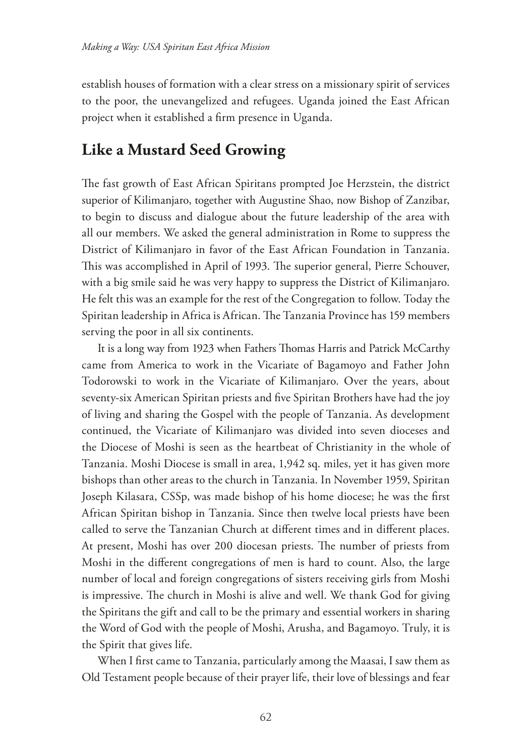establish houses of formation with a clear stress on a missionary spirit of services to the poor, the unevangelized and refugees. Uganda joined the East African project when it established a frm presence in Uganda.

### **Like a Mustard Seed Growing**

The fast growth of East African Spiritans prompted Joe Herzstein, the district superior of Kilimanjaro, together with Augustine Shao, now Bishop of Zanzibar, to begin to discuss and dialogue about the future leadership of the area with all our members. We asked the general administration in Rome to suppress the District of Kilimanjaro in favor of the East African Foundation in Tanzania. This was accomplished in April of 1993. The superior general, Pierre Schouver, with a big smile said he was very happy to suppress the District of Kilimanjaro. He felt this was an example for the rest of the Congregation to follow. Today the Spiritan leadership in Africa is African. The Tanzania Province has 159 members serving the poor in all six continents.

It is a long way from 1923 when Fathers Thomas Harris and Patrick McCarthy came from America to work in the Vicariate of Bagamoyo and Father John Todorowski to work in the Vicariate of Kilimanjaro. Over the years, about seventy-six American Spiritan priests and fve Spiritan Brothers have had the joy of living and sharing the Gospel with the people of Tanzania. As development continued, the Vicariate of Kilimanjaro was divided into seven dioceses and the Diocese of Moshi is seen as the heartbeat of Christianity in the whole of Tanzania. Moshi Diocese is small in area, 1,942 sq. miles, yet it has given more bishops than other areas to the church in Tanzania. In November 1959, Spiritan Joseph Kilasara, CSSp, was made bishop of his home diocese; he was the frst African Spiritan bishop in Tanzania. Since then twelve local priests have been called to serve the Tanzanian Church at diferent times and in diferent places. At present, Moshi has over 200 diocesan priests. The number of priests from Moshi in the diferent congregations of men is hard to count. Also, the large number of local and foreign congregations of sisters receiving girls from Moshi is impressive. The church in Moshi is alive and well. We thank God for giving the Spiritans the gift and call to be the primary and essential workers in sharing the Word of God with the people of Moshi, Arusha, and Bagamoyo. Truly, it is the Spirit that gives life.

When I frst came to Tanzania, particularly among the Maasai, I saw them as Old Testament people because of their prayer life, their love of blessings and fear